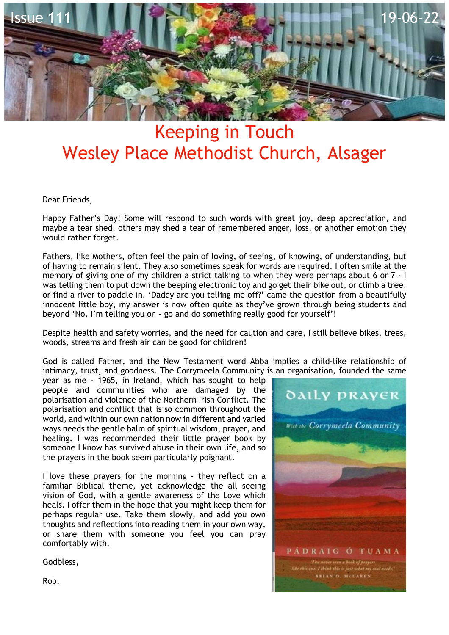

### Keeping in Touch Wesley Place Methodist Church, Alsager

Dear Friends,

Happy Father's Day! Some will respond to such words with great joy, deep appreciation, and maybe a tear shed, others may shed a tear of remembered anger, loss, or another emotion they would rather forget.

Fathers, like Mothers, often feel the pain of loving, of seeing, of knowing, of understanding, but of having to remain silent. They also sometimes speak for words are required. I often smile at the memory of giving one of my children a strict talking to when they were perhaps about 6 or 7 - I was telling them to put down the beeping electronic toy and go get their bike out, or climb a tree, or find a river to paddle in. 'Daddy are you telling me off?' came the question from a beautifully innocent little boy, my answer is now often quite as they've grown through being students and beyond 'No, I'm telling you on - go and do something really good for yourself'!

Despite health and safety worries, and the need for caution and care, I still believe bikes, trees, woods, streams and fresh air can be good for children!

God is called Father, and the New Testament word Abba implies a child-like relationship of intimacy, trust, and goodness. The Corrymeela Community is an organisation, founded the same

year as me - 1965, in Ireland, which has sought to help people and communities who are damaged by the polarisation and violence of the Northern Irish Conflict. The polarisation and conflict that is so common throughout the world, and within our own nation now in different and varied ways needs the gentle balm of spiritual wisdom, prayer, and healing. I was recommended their little prayer book by someone I know has survived abuse in their own life, and so the prayers in the book seem particularly poignant.

I love these prayers for the morning - they reflect on a familiar Biblical theme, yet acknowledge the all seeing vision of God, with a gentle awareness of the Love which heals. I offer them in the hope that you might keep them for perhaps regular use. Take them slowly, and add you own thoughts and reflections into reading them in your own way, or share them with someone you feel you can pray comfortably with.



Godbless,

Rob.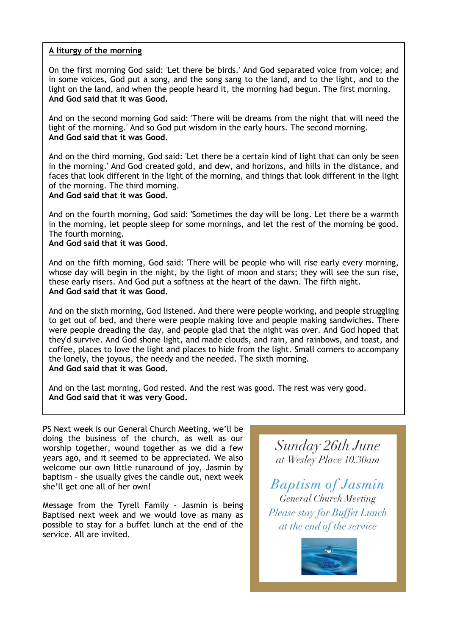#### **A liturgy of the morning**

On the first morning God said: 'Let there be birds.' And God separated voice from voice; and in some voices, God put a song, and the song sang to the land, and to the light, and to the light on the land, and when the people heard it, the morning had begun. The first morning. **And God said that it was Good.**

And on the second morning God said: 'There will be dreams from the night that will need the light of the morning.' And so God put wisdom in the early hours. The second morning. **And God said that it was Good.**

And on the third morning, God said: 'Let there be a certain kind of light that can only be seen in the morning.' And God created gold, and dew, and horizons, and hills in the distance, and faces that look different in the light of the morning, and things that look different in the light of the morning. The third morning.

**And God said that it was Good.**

And on the fourth morning, God said: 'Sometimes the day will be long. Let there be a warmth in the morning, let people sleep for some mornings, and let the rest of the morning be good. The fourth morning.

**And God said that it was Good.**

And on the fifth morning, God said: 'There will be people who will rise early every morning, whose day will begin in the night, by the light of moon and stars; they will see the sun rise, these early risers. And God put a softness at the heart of the dawn. The fifth night. **And God said that it was Good.**

And on the sixth morning, God listened. And there were people working, and people struggling to get out of bed, and there were people making love and people making sandwiches. There were people dreading the day, and people glad that the night was over. And God hoped that they'd survive. And God shone light, and made clouds, and rain, and rainbows, and toast, and coffee, places to love the light and places to hide from the light. Small corners to accompany the lonely, the joyous, the needy and the needed. The sixth morning. **And God said that it was Good.**

And on the last morning, God rested. And the rest was good. The rest was very good. **And God said that it was very Good.**

PS Next week is our General Church Meeting, we'll be doing the business of the church, as well as our worship together, wound together as we did a few years ago, and it seemed to be appreciated. We also welcome our own little runaround of joy, Jasmin by baptism - she usually gives the candle out, next week she'll get one all of her own!

Message from the Tyrell Family - Jasmin is being Baptised next week and we would love as many as possible to stay for a buffet lunch at the end of the service. All are invited.

Sunday 26th June at Wesley Place 10.30am

**Baptism of Jasmin General Church Meeting** Please stay for Buffet Lunch at the end of the service

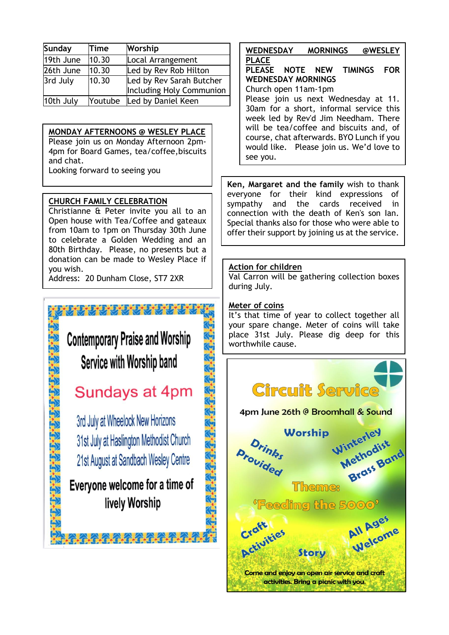| Sunday    | <b>Time</b> | <b>Worship</b>                                       |
|-----------|-------------|------------------------------------------------------|
| 19th June | 10.30       | Local Arrangement                                    |
| 26th June | 10.30       | Led by Rev Rob Hilton                                |
| 3rd July  | 10.30       | Led by Rev Sarah Butcher<br>Including Holy Communion |
| 10th July | Youtube     | Led by Daniel Keen                                   |

#### **MONDAY AFTERNOONS @ WESLEY PLACE**

Please join us on Monday Afternoon 2pm-4pm for Board Games, tea/coffee,biscuits and chat.

Looking forward to seeing you

#### **CHURCH FAMILY CELEBRATION**

Christianne & Peter invite you all to an Open house with Tea/Coffee and gateaux from 10am to 1pm on Thursday 30th June to celebrate a Golden Wedding and an 80th Birthday. Please, no presents but a donation can be made to Wesley Place if you wish.

Address: 20 Dunham Close, ST7 2XR

# **Contemporary Praise and Worship** Service with Worship band

22222222

### **Sundays at 4pm**

3rd July at Wheelock New Horizons 31st July at Haslington Methodist Church 21st August at Sandbach Wesley Centre

Everyone welcome for a time of lively Worship

CALCARACTER

**WEDNESDAY MORNINGS @WESLEY PLACE PLEASE NOTE NEW TIMINGS FOR WEDNESDAY MORNINGS** Church open 11am-1pm Please join us next Wednesday at 11. 30am for a short, informal service this week led by Rev'd Jim Needham. There will be tea/coffee and biscuits and, of course, chat afterwards. BYO Lunch if you would like. Please join us. We'd love to see you.

**Ken, Margaret and the family** wish to thank everyone for their kind expressions of sympathy and the cards received in connection with the death of Ken's son Ian. Special thanks also for those who were able to offer their support by joining us at the service.

#### **Action for children**

Val Carron will be gathering collection boxes during July.

#### **Meter of coins**

化分子分子分子分子分子

It's that time of year to collect together all your spare change. Meter of coins will take place 31st July. Please dig deep for this worthwhile cause.

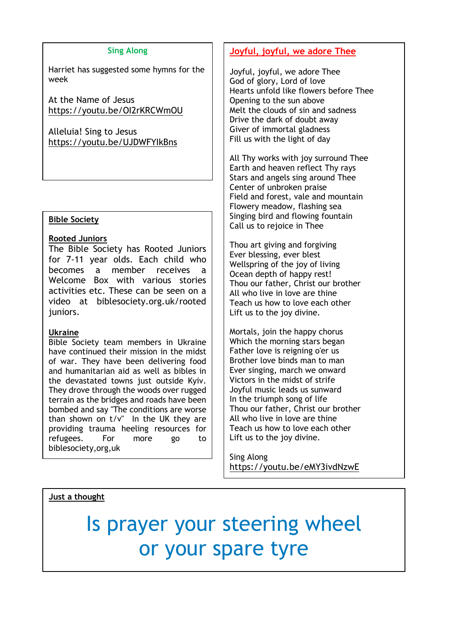#### **Sing Along**

Harriet has suggested some hymns for the week

At the Name of Jesus <https://youtu.be/OI2rKRCWmOU>

Alleluia! Sing to Jesus <https://youtu.be/UJDWFYIkBns>

#### **Bible Society**

#### **Rooted Juniors**

The Bible Society has Rooted Juniors for 7-11 year olds. Each child who becomes a member receives a Welcome Box with various stories activities etc. These can be seen on a video at biblesociety.org.uk/rooted juniors.

#### **Ukraine**

Bible Society team members in Ukraine have continued their mission in the midst of war. They have been delivering food and humanitarian aid as well as bibles in the devastated towns just outside Kyiv. They drove through the woods over rugged terrain as the bridges and roads have been bombed and say "The conditions are worse than shown on  $t/v''$  In the UK they are providing trauma heeling resources for refugees. For more go to biblesociety,org,uk

#### **Joyful, joyful, we adore Thee**

Joyful, joyful, we adore Thee God of glory, Lord of love Hearts unfold like flowers before Thee Opening to the sun above Melt the clouds of sin and sadness Drive the dark of doubt away Giver of immortal gladness Fill us with the light of day

All Thy works with joy surround Thee Earth and heaven reflect Thy rays Stars and angels sing around Thee Center of unbroken praise Field and forest, vale and mountain Flowery meadow, flashing sea Singing bird and flowing fountain Call us to rejoice in Thee

Thou art giving and forgiving Ever blessing, ever blest Wellspring of the joy of living Ocean depth of happy rest! Thou our father, Christ our brother All who live in love are thine Teach us how to love each other Lift us to the joy divine.

Mortals, join the happy chorus Which the morning stars began Father love is reigning o'еr us Brother love binds man to man Ever singing, march wе onward Victors in the midst of strife Joyful music leads us sunward In the triumph song of life Thou our father, Christ our brother All who live in love are thine Teach us how to love each other Lift us to the joy divine.

Sing Along <https://youtu.be/eMY3ivdNzwE>

#### **Just a thought**

## Is prayer your steering wheel or your spare tyre